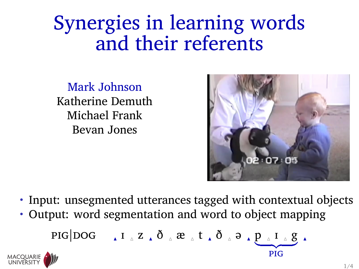## Synergies in learning words and their referents

Mark Johnson Katherine Demuth Michael Frank Bevan Jones



- Input: unsegmented utterances tagged with contextual objects
- Output: word segmentation and word to object mapping

$$
\text{PIG} \bigg| DOG \qquad \text{if} \quad \text{if} \quad Z \neq \delta \quad \text{if} \quad E \neq \delta \quad \text{if} \quad \text{if} \quad Q \neq \text{if} \quad \text{if} \quad Q \neq \text{if} \quad \text{if} \quad Q \neq \text{if} \quad \text{if} \quad Q \neq \text{if} \quad Q \neq \text{if} \quad Q \neq \text{if} \quad Q \neq \text{if} \quad Q \neq \text{if} \quad Q \neq \text{if} \quad Q \neq \text{if} \quad Q \neq \text{if} \quad Q \neq \text{if} \quad Q \neq \text{if} \quad Q \neq \text{if} \quad Q \neq \text{if} \quad Q \neq \text{if} \quad Q \neq \text{if} \quad Q \neq \text{if} \quad Q \neq \text{if} \quad Q \neq \text{if} \quad Q \neq \text{if} \quad Q \neq \text{if} \quad Q \neq \text{if} \quad Q \neq \text{if} \quad Q \neq \text{if} \quad Q \neq \text{if} \quad Q \neq \text{if} \quad Q \neq \text{if} \quad Q \neq \text{if} \quad Q \neq \text{if} \quad Q \neq \text{if} \quad Q \neq \text{if} \quad Q \neq \text{if} \quad Q \neq \text{if} \quad Q \neq \text{if} \quad Q \neq \text{if} \quad Q \neq \text{if} \quad Q \neq \text{if} \quad Q \neq \text{if} \quad Q \neq \text{if} \quad Q \neq \text{if} \quad Q \neq \text{if} \quad Q \neq \text{if} \quad Q \neq \text{if} \quad Q \neq \text{if} \quad Q \neq \text{if} \quad Q \neq \text{if} \quad Q \neq \text{if} \quad Q \neq \text{if} \quad Q \neq \text{if} \quad Q \neq \text{if} \quad Q \neq \text{if} \quad Q \neq \text{if} \quad Q \neq \text{if} \quad Q \neq \text{if} \quad Q \neq \text{if} \quad Q \neq \text{if} \quad Q \neq \text{if} \quad Q \neq \text{if} \quad Q \neq \text{if} \quad Q \neq \text{if} \quad Q \
$$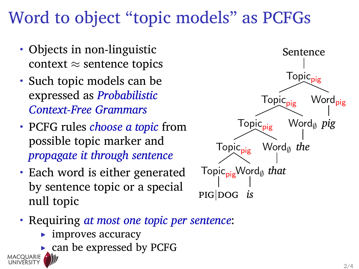## Word to object "topic models" as PCFGs

- Objects in non-linguistic context *≈* sentence topics
- Such topic models can be expressed as *Probabilistic Context-Free Grammars*
- PCFG rules *choose a topic* from possible topic marker and *propagate it through sentence*
- Each word is either generated by sentence topic or a special null topic



- Requiring *at most one topic per sentence*:
	- improves accuracy
	- can be expressed by PCFG

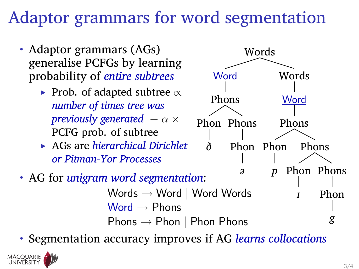## Adaptor grammars for word segmentation